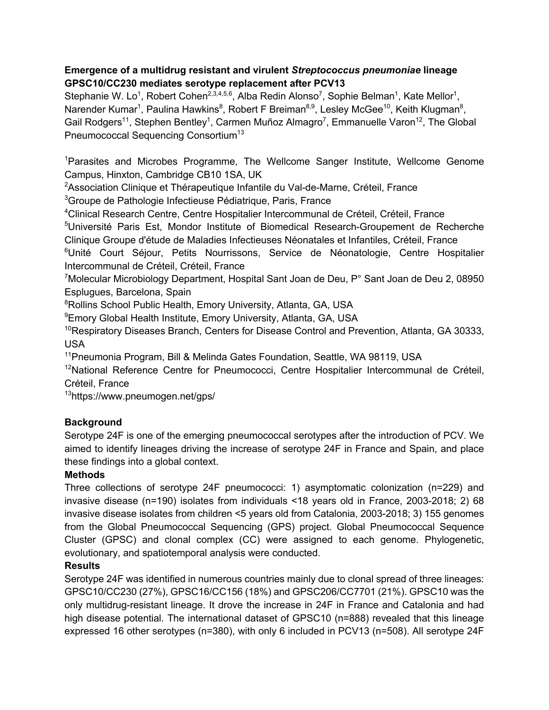## **Emergence of a multidrug resistant and virulent** *Streptococcus pneumoniae* **lineage GPSC10/CC230 mediates serotype replacement after PCV13**

Stephanie W. Lo<sup>1</sup>, Robert Cohen<sup>2,3,4,5,6</sup>, Alba Redin Alonso<sup>7</sup>, Sophie Belman<sup>1</sup>, Kate Mellor<sup>1</sup>, Narender Kumar<sup>1</sup>, Paulina Hawkins<sup>8</sup>, Robert F Breiman<sup>8,9</sup>, Lesley McGee<sup>10</sup>, Keith Klugman<sup>8</sup>, Gail Rodgers<sup>11</sup>, Stephen Bentley<sup>1</sup>, Carmen Muñoz Almagro<sup>7</sup>, Emmanuelle Varon<sup>12</sup>, The Global Pneumococcal Sequencing Consortium<sup>13</sup>

<sup>1</sup>Parasites and Microbes Programme, The Wellcome Sanger Institute, Wellcome Genome Campus, Hinxton, Cambridge CB10 1SA, UK

<sup>2</sup>Association Clinique et Thérapeutique Infantile du Val-de-Marne, Créteil, France <sup>3</sup>Groupe de Pathologie Infectieuse Pédiatrique, Paris, France

4 Clinical Research Centre, Centre Hospitalier Intercommunal de Créteil, Créteil, France

<sup>5</sup>Université Paris Est, Mondor Institute of Biomedical Research-Groupement de Recherche Clinique Groupe d'étude de Maladies Infectieuses Néonatales et Infantiles, Créteil, France

<sup>6</sup>Unité Court Séjour, Petits Nourrissons, Service de Néonatologie, Centre Hospitalier Intercommunal de Créteil, Créteil, France

<sup>7</sup>Molecular Microbiology Department, Hospital Sant Joan de Deu, P° Sant Joan de Deu 2, 08950 Esplugues, Barcelona, Spain

<sup>8</sup>Rollins School Public Health, Emory University, Atlanta, GA, USA

9 Emory Global Health Institute, Emory University, Atlanta, GA, USA

 $10$ Respiratory Diseases Branch, Centers for Disease Control and Prevention, Atlanta, GA 30333, USA

<sup>11</sup>Pneumonia Program, Bill & Melinda Gates Foundation, Seattle, WA 98119, USA

<sup>12</sup>National Reference Centre for Pneumococci, Centre Hospitalier Intercommunal de Créteil, Créteil, France

13 https://www.pneumogen.net/gps/

# **Background**

Serotype 24F is one of the emerging pneumococcal serotypes after the introduction of PCV. We aimed to identify lineages driving the increase of serotype 24F in France and Spain, and place these findings into a global context.

## **Methods**

Three collections of serotype 24F pneumococci: 1) asymptomatic colonization (n=229) and invasive disease (n=190) isolates from individuals <18 years old in France, 2003-2018; 2) 68 invasive disease isolates from children <5 years old from Catalonia, 2003-2018; 3) 155 genomes from the Global Pneumococcal Sequencing (GPS) project. Global Pneumococcal Sequence Cluster (GPSC) and clonal complex (CC) were assigned to each genome. Phylogenetic, evolutionary, and spatiotemporal analysis were conducted.

## **Results**

Serotype 24F was identified in numerous countries mainly due to clonal spread of three lineages: GPSC10/CC230 (27%), GPSC16/CC156 (18%) and GPSC206/CC7701 (21%). GPSC10 was the only multidrug-resistant lineage. It drove the increase in 24F in France and Catalonia and had high disease potential. The international dataset of GPSC10 (n=888) revealed that this lineage expressed 16 other serotypes (n=380), with only 6 included in PCV13 (n=508). All serotype 24F